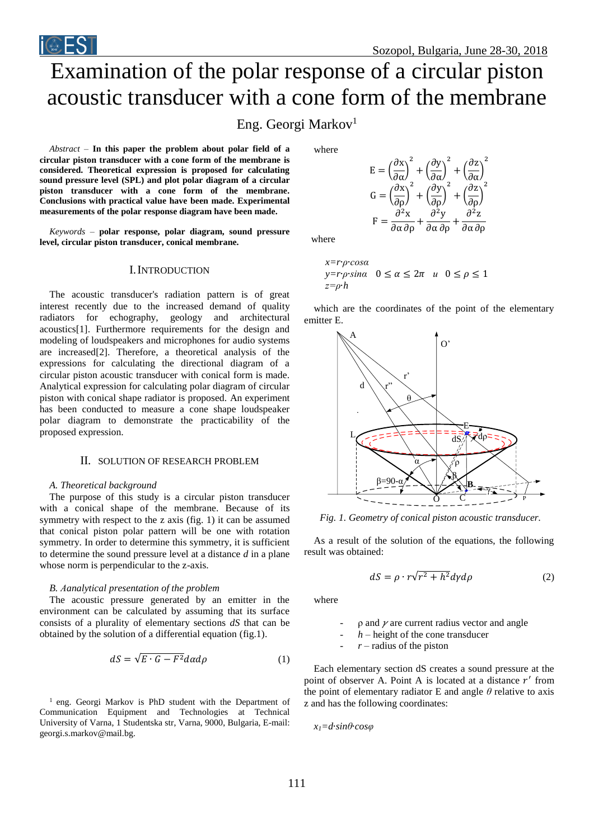# Examination of the polar response of a circular piston acoustic transducer with a cone form of the membrane

## Eng. Georgi Markov<sup>1</sup>

*Abstract –* **In this paper the problem about polar field of a circular piston transducer with a cone form of the membrane is considered. Theoretical expression is proposed for calculating sound pressure level (SPL) and plot polar diagram of a circular piston transducer with a cone form of the membrane. Conclusions with practical value have been made. Experimental measurements of the polar response diagram have been made.**

*Keywords –* **polar response, polar diagram, sound pressure level, circular piston transducer, conical membrane.**

## I.INTRODUCTION

The acoustic transducer's radiation pattern is of great interest recently due to the increased demand of quality radiators for echography, geology and architectural acoustics[1]. Furthermore requirements for the design and modeling of loudspeakers and microphones for audio systems are increased[2]. Therefore, a theoretical analysis of the expressions for calculating the directional diagram of a circular piston acoustic transducer with conical form is made. Analytical expression for calculating polar diagram of circular piston with conical shape radiator is proposed. An experiment has been conducted to measure a cone shape loudspeaker polar diagram to demonstrate the practicability of the proposed expression.

## II. SOLUTION OF RESEARCH PROBLEM

## *A. Theoretical background*

The purpose of this study is a circular piston transducer with a conical shape of the membrane. Because of its symmetry with respect to the z axis (fig. 1) it can be assumed that conical piston polar pattern will be one with rotation symmetry. In order to determine this symmetry, it is sufficient to determine the sound pressure level at a distance *d* in a plane whose norm is perpendicular to the z-axis.

#### *B. Аanalytical presentation of the problem*

The acoustic pressure generated by an emitter in the environment can be calculated by assuming that its surface consists of a plurality of elementary sections *dS* that can be obtained by the solution of a differential equation (fig.1).

$$
dS = \sqrt{E \cdot G - F^2} d\alpha d\rho \tag{1}
$$

<sup>1</sup> eng. Georgi Markov is PhD student with the Department of Communication Equipment and Technologies at Technical University of Varna, 1 Studentska str, Varna, 9000, Bulgaria, E-mail: georgi.s.markov@mail.bg.

where

$$
E = \left(\frac{\partial x}{\partial \alpha}\right)^2 + \left(\frac{\partial y}{\partial \alpha}\right)^2 + \left(\frac{\partial z}{\partial \alpha}\right)^2
$$
  

$$
G = \left(\frac{\partial x}{\partial \rho}\right)^2 + \left(\frac{\partial y}{\partial \rho}\right)^2 + \left(\frac{\partial z}{\partial \rho}\right)^2
$$
  

$$
F = \frac{\partial^2 x}{\partial \alpha \partial \rho} + \frac{\partial^2 y}{\partial \alpha \partial \rho} + \frac{\partial^2 z}{\partial \alpha \partial \rho}
$$

where

$$
x=r\rho \cdot \cos \alpha
$$
  
 
$$
y=r\rho \cdot \sin \alpha \quad 0 \le \alpha \le 2\pi \quad u \quad 0 \le \rho \le 1
$$
  
 
$$
z=\rho \cdot h
$$

which are the coordinates of the point of the elementary emitter E.



*Fig. 1. Geometry of conical piston acoustic transducer.*

As a result of the solution of the equations, the following result was obtained:

$$
dS = \rho \cdot r\sqrt{r^2 + h^2}d\gamma d\rho \tag{2}
$$

where

 $\rho$  and  $\nu$  are current radius vector and angle

 $h$  – height of the cone transducer

 $r$  – radius of the piston

Each elementary section dS creates a sound pressure at the point of observer A. Point A is located at a distance  $r'$  from the point of elementary radiator E and angle *θ* relative to axis z and has the following coordinates:

$$
x_l = d \cdot \sin\theta \cdot \cos\varphi
$$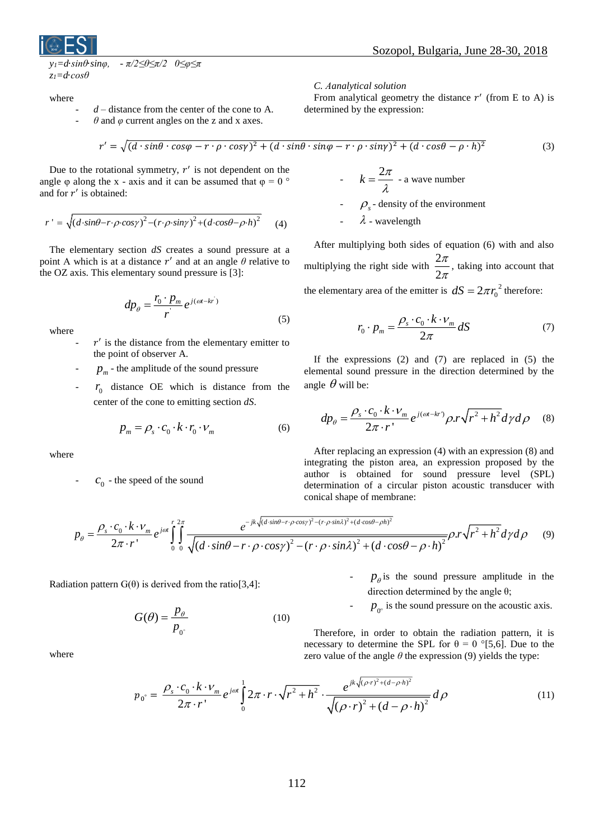

where

- $d$  distance from the center of the cone to A.
	- $\theta$  and  $\varphi$  current angles on the z and x axes.

*C. Аanalytical solution*

From analytical geometry the distance  $r'$  (from E to A) is determined by the expression:

$$
r' = \sqrt{(d \cdot \sin\theta \cdot \cos\varphi - r \cdot \rho \cdot \cos\gamma)^2 + (d \cdot \sin\theta \cdot \sin\varphi - r \cdot \rho \cdot \sin\gamma)^2 + (d \cdot \cos\theta - \rho \cdot h)^2}
$$
(3)

-

Due to the rotational symmetry,  $r'$  is not dependent on the angle  $\varphi$  along the x - axis and it can be assumed that  $\varphi = 0$  ° and for  $r'$  is obtained:

$$
r' = \sqrt{(d \cdot \sin\theta - r \cdot \rho \cdot \cos\gamma)^2 - (r \cdot \rho \cdot \sin\gamma)^2 + (d \cdot \cos\theta - \rho \cdot h)^2}
$$
 (4)

The elementary section *dS* creates a sound pressure at a point A which is at a distance  $r'$  and at an angle  $\theta$  relative to the OZ axis. This elementary sound pressure is [3]:

$$
dp_{\theta} = \frac{r_0 \cdot p_m}{r} e^{j(\omega t - kr)} \tag{5}
$$

where

- $\mathbf{r}'$  is the distance from the elementary emitter to the point of observer A.
- $p_m$  the amplitude of the sound pressure
- $r_0$  distance OE which is distance from the center of the cone to emitting section *dS*.

$$
p_m = \rho_s \cdot c_0 \cdot k \cdot r_0 \cdot \nu_m \tag{6}
$$

where

  $c_0$  - the speed of the sound

## $k = \frac{2\pi}{ }$  $=\frac{2\pi}{\lambda}$  - a wave number

 $\int_{s}$  - density of the environment

- 
$$
\lambda
$$
 - wavelength

After multiplying both sides of equation (6) with and also multiplying the right side with  $\frac{2}{\overline{6}}$ 2 π  $\frac{\pi}{\pi}$ , taking into account that the elementary area of the emitter is  $dS = 2\pi r_0^2$  $dS = 2\pi r_0^2$  therefore:

$$
r_0 \cdot p_m = \frac{\rho_s \cdot c_0 \cdot k \cdot \nu_m}{2\pi} dS \tag{7}
$$

If the expressions (2) and (7) are replaced in (5) the elemental sound pressure in the direction determined by the angle  $\theta$  will be:

e 
$$
\theta
$$
 will be:  
\n
$$
dp_{\theta} = \frac{\rho_s \cdot c_0 \cdot k \cdot v_m}{2\pi \cdot r} e^{j(\omega t - kr)} \rho \cdot r \sqrt{r^2 + h^2} d\gamma d\rho \quad (8)
$$

After replacing an expression (4) with an expression (8) and integrating the piston area, an expression proposed by the author is obtained for sound pressure level (SPL) determination of a circular piston acoustic transducer with conical shape of membrane:

$$
p_{\theta} = \frac{\rho_s \cdot c_0 \cdot k \cdot \nu_m}{2\pi \cdot r} e^{j\omega t} \int_0^r \int_0^{2\pi} \frac{e^{-jk\sqrt{(d\cdot \sin\theta - r \cdot \rho \cdot \cos\gamma)^2 - (r \cdot \rho \cdot \sin\lambda)^2 + (d\cdot \cos\theta - \rho h)^2}}}{\sqrt{(d\cdot \sin\theta - r \cdot \rho \cdot \cos\gamma)^2 - (r \cdot \rho \cdot \sin\lambda)^2 + (d\cdot \cos\theta - \rho \cdot h)^2}} \rho.r \sqrt{r^2 + h^2} d\gamma d\rho
$$
(9)

Radiation pattern  $G(\theta)$  is derived from the ratio[3,4]:

$$
G(\theta) = \frac{p_{\theta}}{p_{0^{\circ}}}
$$
 (10)

where

 $-p_{\theta}$  is the sound pressure amplitude in the direction determined by the angle θ;

 $p_{0^{\circ}}$  is the sound pressure on the acoustic axis.

Therefore, in order to obtain the radiation pattern, it is necessary to determine the SPL for  $\theta = 0$  °[5,6]. Due to the zero value of the angle  $\theta$  the expression (9) yields the type:

$$
p_0^{\circ} = \frac{\rho_s \cdot c_0 \cdot k \cdot \nu_m}{2\pi \cdot r} e^{j\omega t} \int_0^1 2\pi \cdot r \cdot \sqrt{r^2 + h^2} \cdot \frac{e^{jk\sqrt{(\rho \cdot r)^2 + (d - \rho \cdot h)^2}}}{\sqrt{(\rho \cdot r)^2 + (d - \rho \cdot h)^2}} d\rho
$$
(11)

-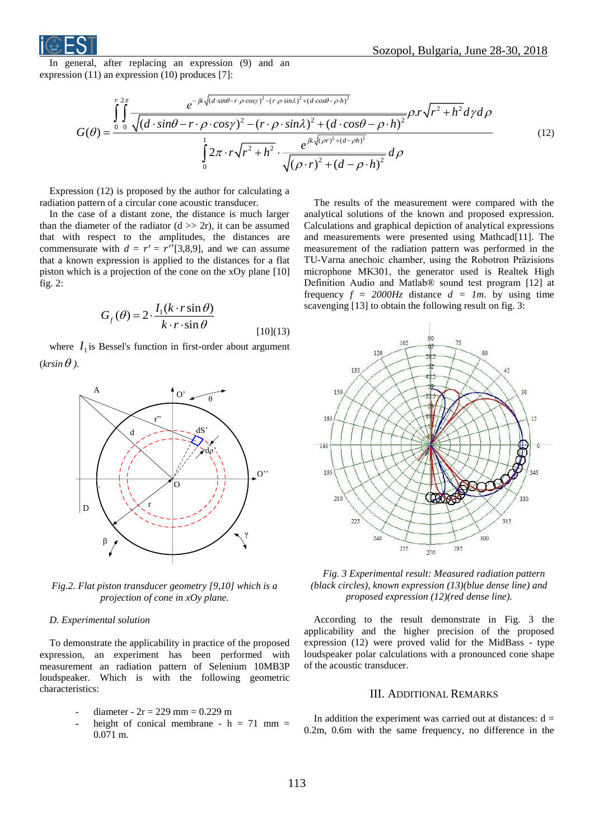

In general, after replacing an expression (9) and an expression (11) an expression (10) produces [7]:

$$
G(\theta) = \frac{\int_{0}^{r} \int_{0}^{2\pi} \frac{e^{-jk\sqrt{(d\cdot\sin\theta - r\cdot\rho\cdot\cos\gamma)^2 - (r\cdot\rho\cdot\sin\lambda)^2 + (d\cdot\cos\theta - \rho\cdot h)^2}}{\sqrt{(d\cdot\sin\theta - r\cdot\rho\cdot\cos\gamma)^2 - (r\cdot\rho\cdot\sin\lambda)^2 + (d\cdot\cos\theta - \rho\cdot h)^2}} \rho.r\sqrt{r^2 + h^2} \, d\gamma d\rho
$$
\n
$$
\int_{0}^{1} 2\pi \cdot r\sqrt{r^2 + h^2} \cdot \frac{e^{jk\sqrt{(\rho r)^2 + (d - \rho h)^2}}}{\sqrt{(\rho \cdot r)^2 + (d - \rho \cdot h)^2}} \, d\rho
$$
\n
$$
(12)
$$

Expression (12) is proposed by the author for calculating a radiation pattern of a circular cone acoustic transducer.

In the case of a distant zone, the distance is much larger than the diameter of the radiator  $(d \gg 2r)$ , it can be assumed that with respect to the amplitudes, the distances are commensurate with  $d = r' = r''[3,8,9]$ , and we can assume that a known expression is applied to the distances for a flat piston which is a projection of the cone on the xOy plane [10] fig. 2:

$$
G_f(\theta) = 2 \cdot \frac{I_1(k \cdot r \sin \theta)}{k \cdot r \cdot \sin \theta}
$$
 [10](13)

where  $I_1$  is Bessel's function in first-order about argument (krsin $\theta$  ).



*Fig.2. Flat piston transducer geometry [9,10] which is a projection of cone in xOy plane.*

## *D. Experimental solution*

To demonstrate the applicability in practice of the proposed expression, an experiment has been performed with measurement an radiation pattern of Selenium 10MB3P loudspeaker. Which is with the following geometric characteristics:

- diameter - 
$$
2r = 229
$$
 mm = 0.229 m

height of conical membrane -  $h = 71$  mm = 0.071 m.

The results of the measurement were compared with the analytical solutions of the known and proposed expression. Calculations and graphical depiction of analytical expressions and measurements were presented using Mathcad[11]. The measurement of the radiation pattern was performed in the TU-Varna anechoic chamber, using the Robotron Präzisions microphone MK301, the generator used is Realtek High Definition Audio and Matlab® sound test program [12] at frequency  $f = 2000Hz$  distance  $d = 1m$ . by using time scavenging [13] to obtain the following result on fig. 3:



*Fig. 3 Experimental result: Measured radiation pattern (black circles), known expression (13)(blue dense line) and proposed expression (12)(red dense line).*

According to the result demonstrate in Fig. 3 the applicability and the higher precision of the proposed expression (12) were proved valid for the MidBass - type loudspeaker polar calculations with a pronounced cone shape of the acoustic transducer.

## III. ADDITIONAL REMARKS

In addition the experiment was carried out at distances:  $d =$ 0.2m, 0.6m with the same frequency, no difference in the